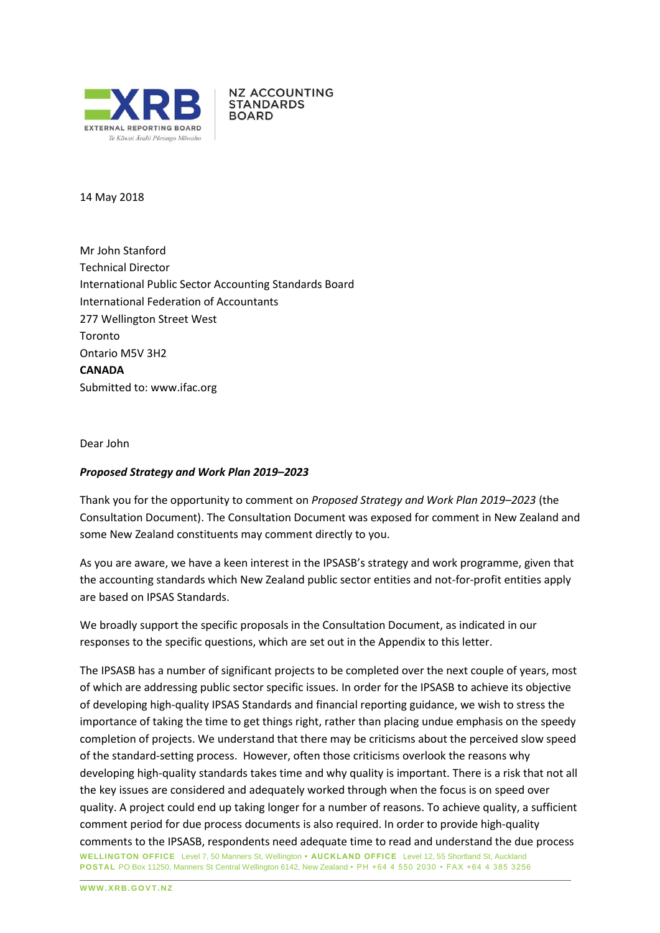

**NZ ACCOUNTING STANDARDS BOARD** 

14 May 2018

Mr John Stanford Technical Director International Public Sector Accounting Standards Board International Federation of Accountants 277 Wellington Street West Toronto Ontario M5V 3H2 **CANADA** Submitted to: [www.ifac.org](http://www.ifac.org/)

Dear John

### *Proposed Strategy and Work Plan 2019–2023*

Thank you for the opportunity to comment on *Proposed Strategy and Work Plan 2019–2023* (the Consultation Document). The Consultation Document was exposed for comment in New Zealand and some New Zealand constituents may comment directly to you.

As you are aware, we have a keen interest in the IPSASB's strategy and work programme, given that the accounting standards which New Zealand public sector entities and not-for-profit entities apply are based on IPSAS Standards.

We broadly support the specific proposals in the Consultation Document, as indicated in our responses to the specific questions, which are set out in the Appendix to this letter.

**WELLINGTON OFFICE** Level 7, 50 Manners St, Wellington **• AUCKLAND OFFICE** Level 12, 55 Shortland St, Auckland **POSTAL** PO Box 11250, Manners St Central Wellington 6142, New Zealand • PH +64 4 550 2030 • FAX +64 4 385 3256 The IPSASB has a number of significant projects to be completed over the next couple of years, most of which are addressing public sector specific issues. In order for the IPSASB to achieve its objective of developing high-quality IPSAS Standards and financial reporting guidance, we wish to stress the importance of taking the time to get things right, rather than placing undue emphasis on the speedy completion of projects. We understand that there may be criticisms about the perceived slow speed of the standard-setting process. However, often those criticisms overlook the reasons why developing high-quality standards takes time and why quality is important. There is a risk that not all the key issues are considered and adequately worked through when the focus is on speed over quality. A project could end up taking longer for a number of reasons. To achieve quality, a sufficient comment period for due process documents is also required. In order to provide high-quality comments to the IPSASB, respondents need adequate time to read and understand the due process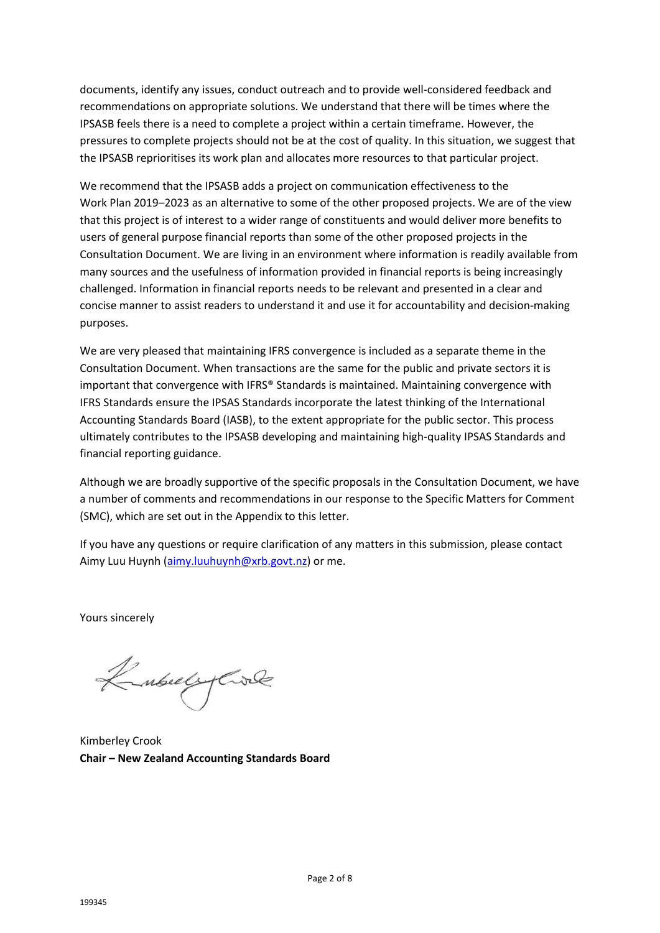documents, identify any issues, conduct outreach and to provide well-considered feedback and recommendations on appropriate solutions. We understand that there will be times where the IPSASB feels there is a need to complete a project within a certain timeframe. However, the pressures to complete projects should not be at the cost of quality. In this situation, we suggest that the IPSASB reprioritises its work plan and allocates more resources to that particular project.

We recommend that the IPSASB adds a project on communication effectiveness to the Work Plan 2019–2023 as an alternative to some of the other proposed projects. We are of the view that this project is of interest to a wider range of constituents and would deliver more benefits to users of general purpose financial reports than some of the other proposed projects in the Consultation Document. We are living in an environment where information is readily available from many sources and the usefulness of information provided in financial reports is being increasingly challenged. Information in financial reports needs to be relevant and presented in a clear and concise manner to assist readers to understand it and use it for accountability and decision-making purposes.

We are very pleased that maintaining IFRS convergence is included as a separate theme in the Consultation Document. When transactions are the same for the public and private sectors it is important that convergence with IFRS® Standards is maintained. Maintaining convergence with IFRS Standards ensure the IPSAS Standards incorporate the latest thinking of the International Accounting Standards Board (IASB), to the extent appropriate for the public sector. This process ultimately contributes to the IPSASB developing and maintaining high-quality IPSAS Standards and financial reporting guidance.

Although we are broadly supportive of the specific proposals in the Consultation Document, we have a number of comments and recommendations in our response to the Specific Matters for Comment (SMC), which are set out in the Appendix to this letter.

If you have any questions or require clarification of any matters in this submission, please contact Aimy Luu Huynh [\(aimy.luuhuynh@xrb.govt.nz\)](mailto:aimy.luuhuynh@xrb.govt.nz) or me.

Yours sincerely

Kubuly Cole

Kimberley Crook **Chair – New Zealand Accounting Standards Board**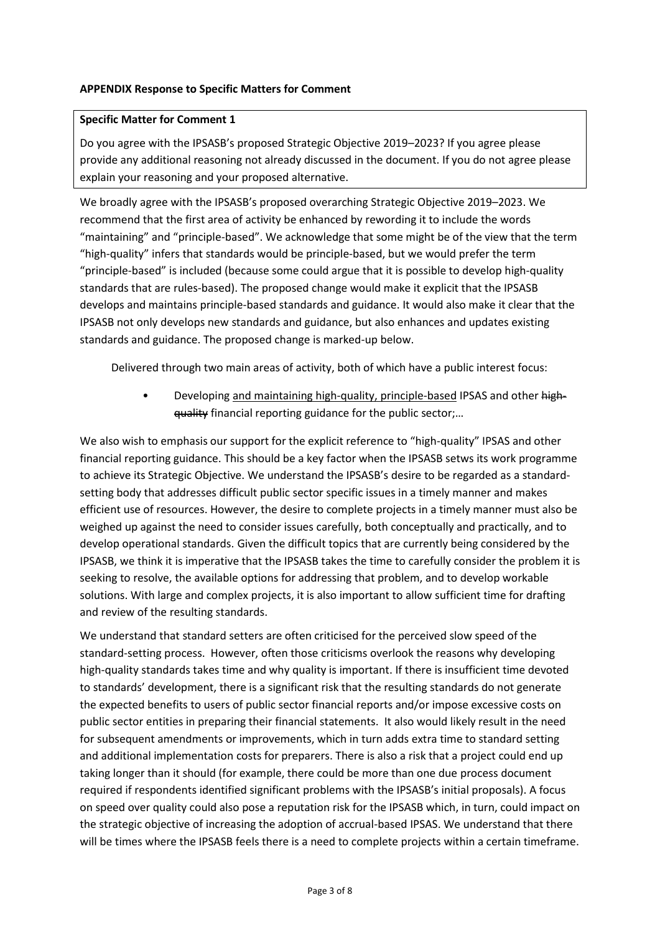### **APPENDIX Response to Specific Matters for Comment**

#### **Specific Matter for Comment 1**

Do you agree with the IPSASB's proposed Strategic Objective 2019–2023? If you agree please provide any additional reasoning not already discussed in the document. If you do not agree please explain your reasoning and your proposed alternative.

We broadly agree with the IPSASB's proposed overarching Strategic Objective 2019–2023. We recommend that the first area of activity be enhanced by rewording it to include the words "maintaining" and "principle-based". We acknowledge that some might be of the view that the term "high-quality" infers that standards would be principle-based, but we would prefer the term "principle-based" is included (because some could argue that it is possible to develop high-quality standards that are rules-based). The proposed change would make it explicit that the IPSASB develops and maintains principle-based standards and guidance. It would also make it clear that the IPSASB not only develops new standards and guidance, but also enhances and updates existing standards and guidance. The proposed change is marked-up below.

Delivered through two main areas of activity, both of which have a public interest focus:

• Developing and maintaining high-quality, principle-based IPSAS and other highquality financial reporting guidance for the public sector;…

We also wish to emphasis our support for the explicit reference to "high-quality" IPSAS and other financial reporting guidance. This should be a key factor when the IPSASB setws its work programme to achieve its Strategic Objective. We understand the IPSASB's desire to be regarded as a standardsetting body that addresses difficult public sector specific issues in a timely manner and makes efficient use of resources. However, the desire to complete projects in a timely manner must also be weighed up against the need to consider issues carefully, both conceptually and practically, and to develop operational standards. Given the difficult topics that are currently being considered by the IPSASB, we think it is imperative that the IPSASB takes the time to carefully consider the problem it is seeking to resolve, the available options for addressing that problem, and to develop workable solutions. With large and complex projects, it is also important to allow sufficient time for drafting and review of the resulting standards.

We understand that standard setters are often criticised for the perceived slow speed of the standard-setting process. However, often those criticisms overlook the reasons why developing high-quality standards takes time and why quality is important. If there is insufficient time devoted to standards' development, there is a significant risk that the resulting standards do not generate the expected benefits to users of public sector financial reports and/or impose excessive costs on public sector entities in preparing their financial statements. It also would likely result in the need for subsequent amendments or improvements, which in turn adds extra time to standard setting and additional implementation costs for preparers. There is also a risk that a project could end up taking longer than it should (for example, there could be more than one due process document required if respondents identified significant problems with the IPSASB's initial proposals). A focus on speed over quality could also pose a reputation risk for the IPSASB which, in turn, could impact on the strategic objective of increasing the adoption of accrual-based IPSAS. We understand that there will be times where the IPSASB feels there is a need to complete projects within a certain timeframe.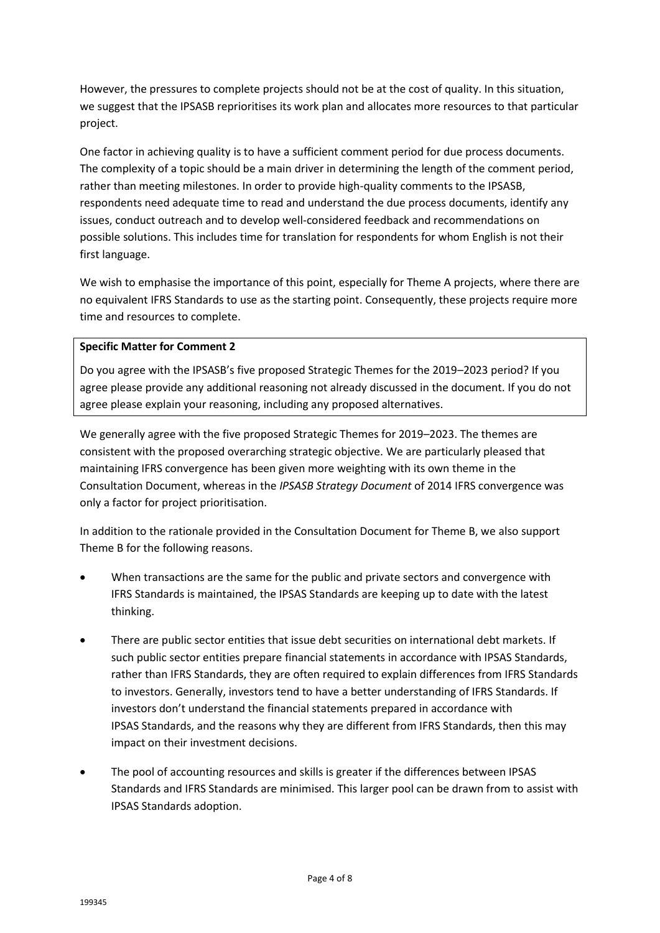However, the pressures to complete projects should not be at the cost of quality. In this situation, we suggest that the IPSASB reprioritises its work plan and allocates more resources to that particular project.

One factor in achieving quality is to have a sufficient comment period for due process documents. The complexity of a topic should be a main driver in determining the length of the comment period, rather than meeting milestones. In order to provide high-quality comments to the IPSASB, respondents need adequate time to read and understand the due process documents, identify any issues, conduct outreach and to develop well-considered feedback and recommendations on possible solutions. This includes time for translation for respondents for whom English is not their first language.

We wish to emphasise the importance of this point, especially for Theme A projects, where there are no equivalent IFRS Standards to use as the starting point. Consequently, these projects require more time and resources to complete.

# **Specific Matter for Comment 2**

Do you agree with the IPSASB's five proposed Strategic Themes for the 2019–2023 period? If you agree please provide any additional reasoning not already discussed in the document. If you do not agree please explain your reasoning, including any proposed alternatives.

We generally agree with the five proposed Strategic Themes for 2019–2023. The themes are consistent with the proposed overarching strategic objective. We are particularly pleased that maintaining IFRS convergence has been given more weighting with its own theme in the Consultation Document, whereas in the *IPSASB Strategy Document* of 2014 IFRS convergence was only a factor for project prioritisation.

In addition to the rationale provided in the Consultation Document for Theme B, we also support Theme B for the following reasons.

- When transactions are the same for the public and private sectors and convergence with IFRS Standards is maintained, the IPSAS Standards are keeping up to date with the latest thinking.
- There are public sector entities that issue debt securities on international debt markets. If such public sector entities prepare financial statements in accordance with IPSAS Standards, rather than IFRS Standards, they are often required to explain differences from IFRS Standards to investors. Generally, investors tend to have a better understanding of IFRS Standards. If investors don't understand the financial statements prepared in accordance with IPSAS Standards, and the reasons why they are different from IFRS Standards, then this may impact on their investment decisions.
- The pool of accounting resources and skills is greater if the differences between IPSAS Standards and IFRS Standards are minimised. This larger pool can be drawn from to assist with IPSAS Standards adoption.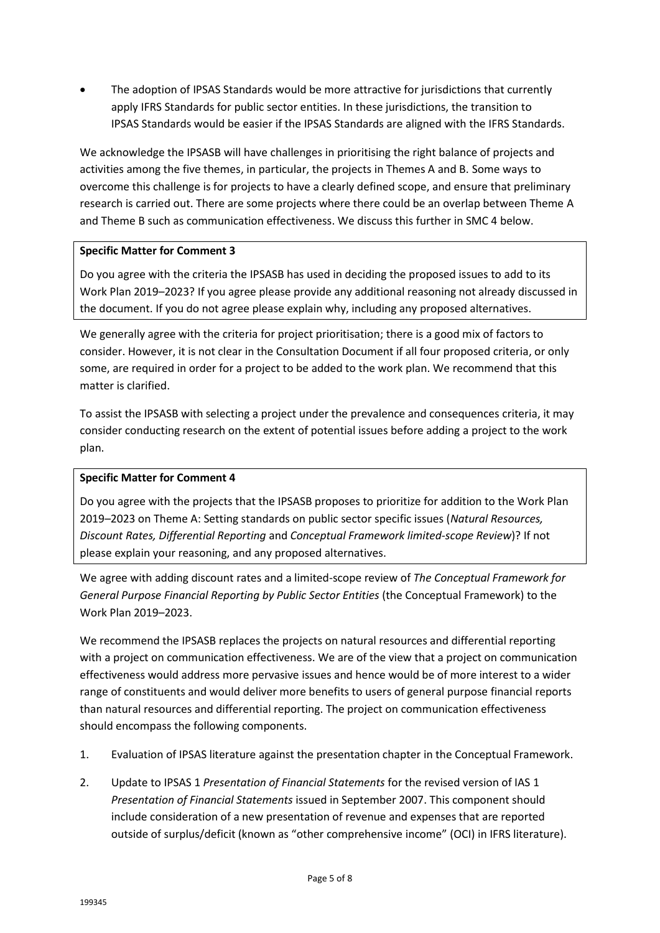• The adoption of IPSAS Standards would be more attractive for jurisdictions that currently apply IFRS Standards for public sector entities. In these jurisdictions, the transition to IPSAS Standards would be easier if the IPSAS Standards are aligned with the IFRS Standards.

We acknowledge the IPSASB will have challenges in prioritising the right balance of projects and activities among the five themes, in particular, the projects in Themes A and B. Some ways to overcome this challenge is for projects to have a clearly defined scope, and ensure that preliminary research is carried out. There are some projects where there could be an overlap between Theme A and Theme B such as communication effectiveness. We discuss this further in SMC 4 below.

# **Specific Matter for Comment 3**

Do you agree with the criteria the IPSASB has used in deciding the proposed issues to add to its Work Plan 2019–2023? If you agree please provide any additional reasoning not already discussed in the document. If you do not agree please explain why, including any proposed alternatives.

We generally agree with the criteria for project prioritisation; there is a good mix of factors to consider. However, it is not clear in the Consultation Document if all four proposed criteria, or only some, are required in order for a project to be added to the work plan. We recommend that this matter is clarified.

To assist the IPSASB with selecting a project under the prevalence and consequences criteria, it may consider conducting research on the extent of potential issues before adding a project to the work plan.

# **Specific Matter for Comment 4**

Do you agree with the projects that the IPSASB proposes to prioritize for addition to the Work Plan 2019–2023 on Theme A: Setting standards on public sector specific issues (*Natural Resources, Discount Rates, Differential Reporting* and *Conceptual Framework limited-scope Review*)? If not please explain your reasoning, and any proposed alternatives.

We agree with adding discount rates and a limited-scope review of *The Conceptual Framework for General Purpose Financial Reporting by Public Sector Entities* (the Conceptual Framework) to the Work Plan 2019–2023.

We recommend the IPSASB replaces the projects on natural resources and differential reporting with a project on communication effectiveness. We are of the view that a project on communication effectiveness would address more pervasive issues and hence would be of more interest to a wider range of constituents and would deliver more benefits to users of general purpose financial reports than natural resources and differential reporting. The project on communication effectiveness should encompass the following components.

- 1. Evaluation of IPSAS literature against the presentation chapter in the Conceptual Framework.
- 2. Update to IPSAS 1 *Presentation of Financial Statements* for the revised version of IAS 1 *Presentation of Financial Statements* issued in September 2007. This component should include consideration of a new presentation of revenue and expenses that are reported outside of surplus/deficit (known as "other comprehensive income" (OCI) in IFRS literature).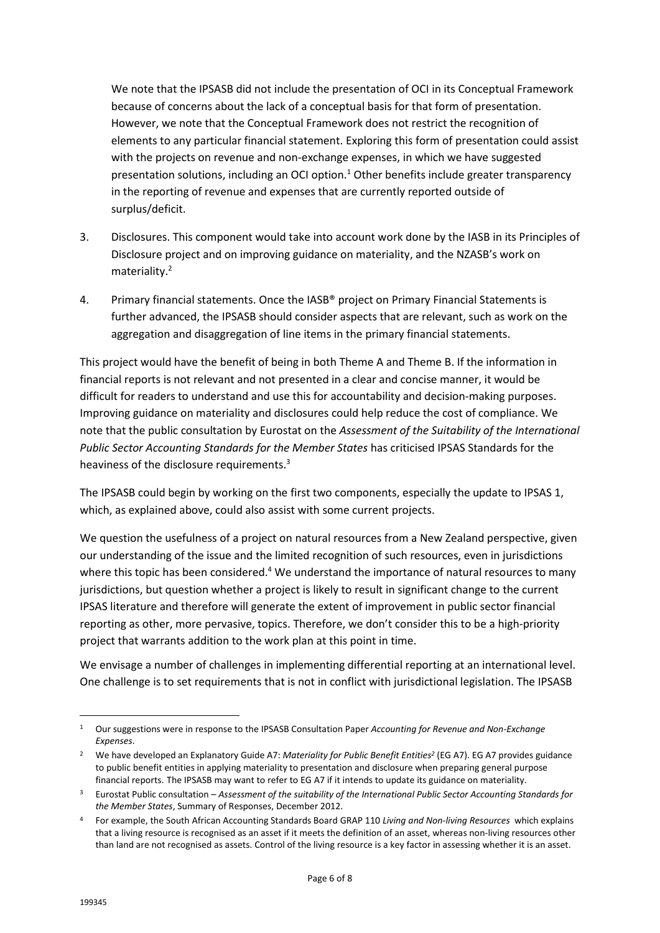We note that the IPSASB did not include the presentation of OCI in its Conceptual Framework because of concerns about the lack of a conceptual basis for that form of presentation. However, we note that the Conceptual Framework does not restrict the recognition of elements to any particular financial statement. Exploring this form of presentation could assist with the projects on revenue and non-exchange expenses, in which we have suggested presentation solutions, including an OCI option.<sup>1</sup> Other benefits include greater transparency in the reporting of revenue and expenses that are currently reported outside of surplus/deficit.

- 3. Disclosures. This component would take into account work done by the IASB in its Principles of Disclosure project and on improving guidance on materiality, and the NZASB's work on materiality.<sup>2</sup>
- 4. Primary financial statements. Once the IASB® project on Primary Financial Statements is further advanced, the IPSASB should consider aspects that are relevant, such as work on the aggregation and disaggregation of line items in the primary financial statements.

This project would have the benefit of being in both Theme A and Theme B. If the information in financial reports is not relevant and not presented in a clear and concise manner, it would be difficult for readers to understand and use this for accountability and decision-making purposes. Improving guidance on materiality and disclosures could help reduce the cost of compliance. We note that the public consultation by Eurostat on the *Assessment of the Suitability of the International Public Sector Accounting Standards for the Member States* has criticised IPSAS Standards for the heaviness of the disclosure requirements.<sup>3</sup>

The IPSASB could begin by working on the first two components, especially the update to IPSAS 1, which, as explained above, could also assist with some current projects.

We question the usefulness of a project on natural resources from a New Zealand perspective, given our understanding of the issue and the limited recognition of such resources, even in jurisdictions where this topic has been considered.<sup>4</sup> We understand the importance of natural resources to many jurisdictions, but question whether a project is likely to result in significant change to the current IPSAS literature and therefore will generate the extent of improvement in public sector financial reporting as other, more pervasive, topics. Therefore, we don't consider this to be a high-priority project that warrants addition to the work plan at this point in time.

We envisage a number of challenges in implementing differential reporting at an international level. One challenge is to set requirements that is not in conflict with jurisdictional legislation. The IPSASB

1

<sup>1</sup> Our suggestions were in response to the IPSASB Consultation Paper *Accounting for Revenue and Non-Exchange Expenses*.

<sup>2</sup> We have developed an Explanatory Guide A7: *Materiality for Public Benefit Entities<sup>2</sup>* (EG A7). EG A7 provides guidance to public benefit entities in applying materiality to presentation and disclosure when preparing general purpose financial reports. The IPSASB may want to refer to EG A7 if it intends to update its guidance on materiality.

<sup>3</sup> Eurostat Public consultation – *Assessment of the suitability of the International Public Sector Accounting Standards for the Member States*, Summary of Responses, December 2012.

<sup>4</sup> For example, the South African Accounting Standards Board GRAP 110 *Living and Non-living Resources* which explains that a living resource is recognised as an asset if it meets the definition of an asset, whereas non-living resources other than land are not recognised as assets. Control of the living resource is a key factor in assessing whether it is an asset.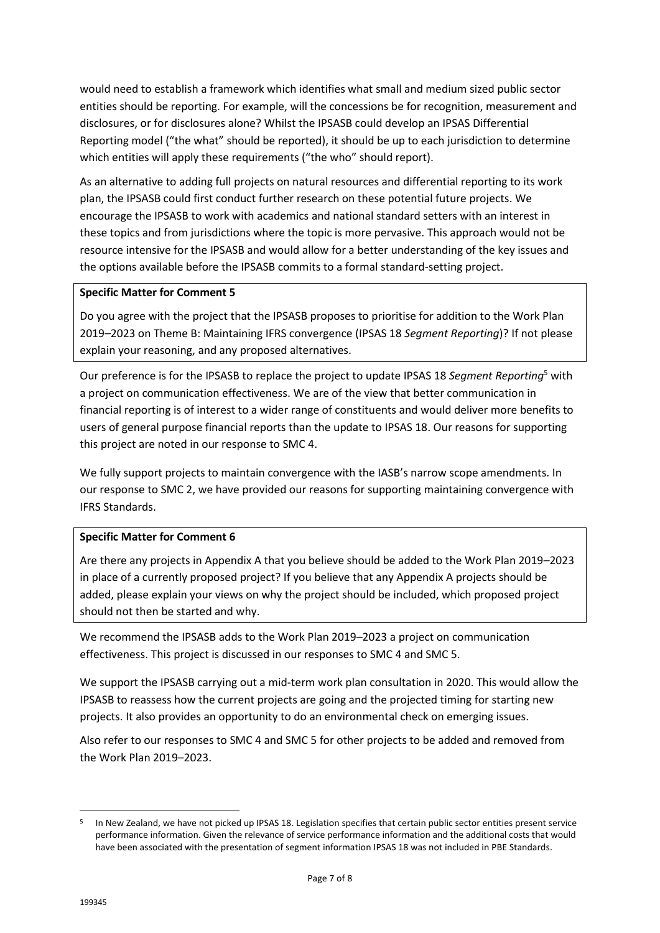would need to establish a framework which identifies what small and medium sized public sector entities should be reporting. For example, will the concessions be for recognition, measurement and disclosures, or for disclosures alone? Whilst the IPSASB could develop an IPSAS Differential Reporting model ("the what" should be reported), it should be up to each jurisdiction to determine which entities will apply these requirements ("the who" should report).

As an alternative to adding full projects on natural resources and differential reporting to its work plan, the IPSASB could first conduct further research on these potential future projects. We encourage the IPSASB to work with academics and national standard setters with an interest in these topics and from jurisdictions where the topic is more pervasive. This approach would not be resource intensive for the IPSASB and would allow for a better understanding of the key issues and the options available before the IPSASB commits to a formal standard-setting project.

### **Specific Matter for Comment 5**

Do you agree with the project that the IPSASB proposes to prioritise for addition to the Work Plan 2019–2023 on Theme B: Maintaining IFRS convergence (IPSAS 18 *Segment Reporting*)? If not please explain your reasoning, and any proposed alternatives.

Our preference is for the IPSASB to replace the project to update IPSAS 18 *Segment Reporting*<sup>5</sup> with a project on communication effectiveness. We are of the view that better communication in financial reporting is of interest to a wider range of constituents and would deliver more benefits to users of general purpose financial reports than the update to IPSAS 18. Our reasons for supporting this project are noted in our response to SMC 4.

We fully support projects to maintain convergence with the IASB's narrow scope amendments. In our response to SMC 2, we have provided our reasons for supporting maintaining convergence with IFRS Standards.

### **Specific Matter for Comment 6**

Are there any projects in Appendix A that you believe should be added to the Work Plan 2019–2023 in place of a currently proposed project? If you believe that any Appendix A projects should be added, please explain your views on why the project should be included, which proposed project should not then be started and why.

We recommend the IPSASB adds to the Work Plan 2019–2023 a project on communication effectiveness. This project is discussed in our responses to SMC 4 and SMC 5.

We support the IPSASB carrying out a mid-term work plan consultation in 2020. This would allow the IPSASB to reassess how the current projects are going and the projected timing for starting new projects. It also provides an opportunity to do an environmental check on emerging issues.

Also refer to our responses to SMC 4 and SMC 5 for other projects to be added and removed from the Work Plan 2019–2023.

-

<sup>&</sup>lt;sup>5</sup> In New Zealand, we have not picked up IPSAS 18. Legislation specifies that certain public sector entities present service performance information. Given the relevance of service performance information and the additional costs that would have been associated with the presentation of segment information IPSAS 18 was not included in PBE Standards.